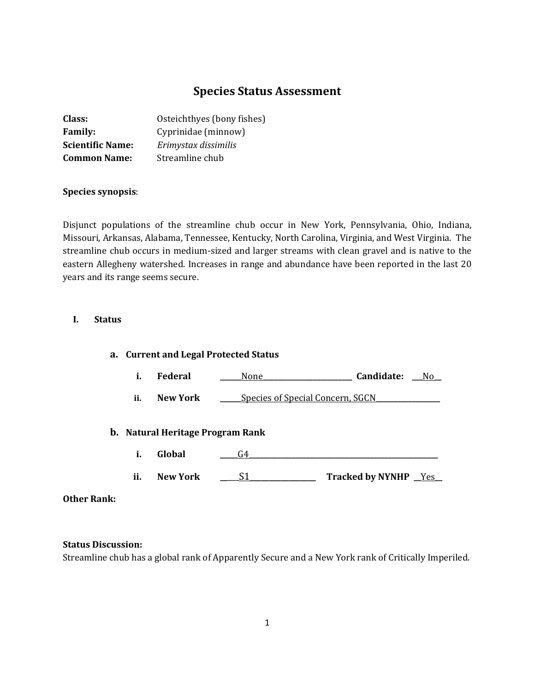# **Species Status Assessment**

| Class:                  | Osteichthyes (bony fishes) |
|-------------------------|----------------------------|
| <b>Family:</b>          | Cyprinidae (minnow)        |
| <b>Scientific Name:</b> | Erimystax dissimilis       |
| <b>Common Name:</b>     | Streamline chub            |

# **Species synopsis**:

Disjunct populations of the streamline chub occur in New York, Pennsylvania, Ohio, Indiana, Missouri, Arkansas, Alabama, Tennessee, Kentucky, North Carolina, Virginia, and West Virginia. The streamline chub occurs in medium-sized and larger streams with clean gravel and is native to the eastern Allegheny watershed. Increases in range and abundance have been reported in the last 20 years and its range seems secure.

### **I. Status**

# **a. Current and Legal Protected Status i. Federal \_\_\_\_\_\_**None**\_\_\_\_\_\_\_\_\_\_\_\_\_\_\_\_\_\_\_\_\_\_\_\_\_ Candidate: \_\_\_**No**\_\_ ii. New York \_\_\_\_\_\_**Species of Special Concern, SGCN**\_\_\_\_\_\_\_\_\_\_\_\_\_\_\_\_\_\_ b. Natural Heritage Program Rank i. Global G4 ii. New York \_\_\_\_\_\_**S1\_\_\_\_\_\_\_\_\_\_\_\_\_\_\_\_\_ **Tracked by NYNHP \_\_**Yes**\_\_**

## **Other Rank:**

## **Status Discussion:**

Streamline chub has a global rank of Apparently Secure and a New York rank of Critically Imperiled.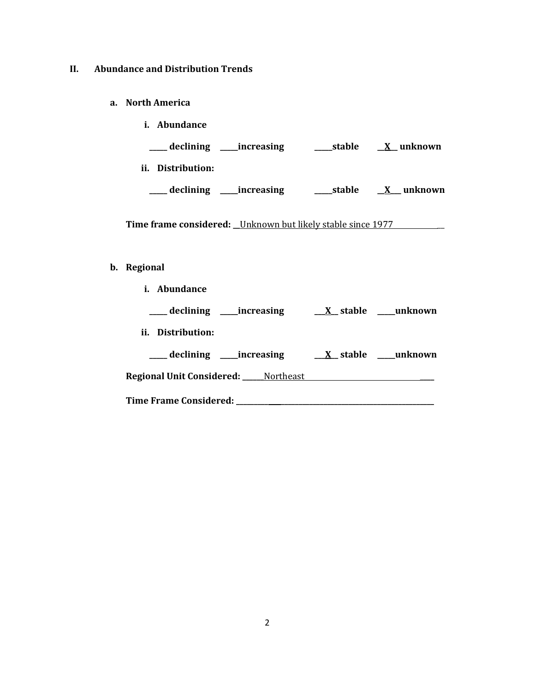# **II. Abundance and Distribution Trends**

**a. North America**

| <i>i.</i> Abundance       |        |           |
|---------------------------|--------|-----------|
| declining<br>__increasing | stable | X unknown |
| Distribution:<br>ii.      |        |           |
| declining<br>increasing   | stable | unknown   |

Time frame considered: Unknown but likely stable since 1977

# **b. Regional**

| <i>i.</i> Abundance                        |  |
|--------------------------------------------|--|
|                                            |  |
| ii. Distribution:                          |  |
|                                            |  |
| <b>Regional Unit Considered:</b> Mortheast |  |
|                                            |  |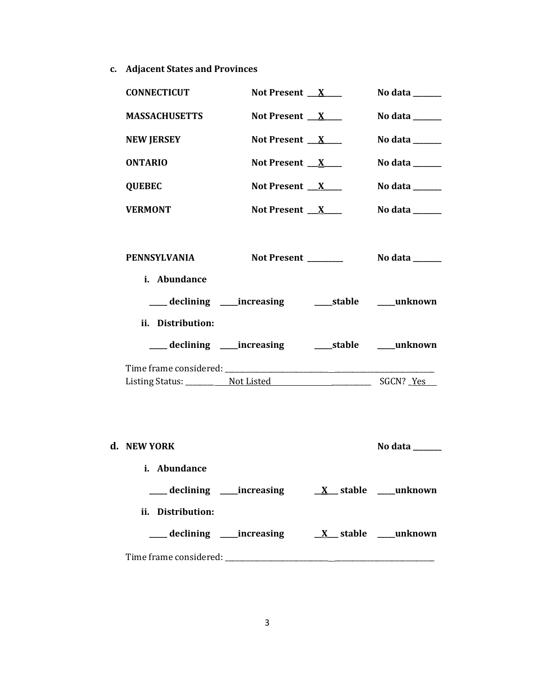**c. Adjacent States and Provinces**

| <b>CONNECTICUT</b>                | Not Present $X$     | No data $\_\_\_\_\_\_\_\_\_\_\_\_\$                                         |
|-----------------------------------|---------------------|-----------------------------------------------------------------------------|
| <b>MASSACHUSETTS</b>              | Not Present $X$     | No data ______                                                              |
| <b>NEW JERSEY</b>                 | Not Present $X$     | No data $\_\_\_\_\_\_\_\_\_\_\_\$                                           |
| <b>ONTARIO</b>                    | Not Present $X$     | No data $\frac{1}{\sqrt{1-\frac{1}{2}}\cdot\frac{1}{\sqrt{1-\frac{1}{2}}}}$ |
| <b>QUEBEC</b>                     | Not Present X       | No data ______                                                              |
| <b>VERMONT</b>                    | Not Present $X$     | No data ______                                                              |
| PENNSYLVANIA<br>i. Abundance      | Not Present _______ | No data $\_\_\_\_\_\_\_\_\_\_\$                                             |
| ii. Distribution:                 |                     |                                                                             |
|                                   |                     |                                                                             |
|                                   |                     |                                                                             |
| d. NEW YORK                       |                     | No data ______                                                              |
| i. Abundance<br>ii. Distribution: |                     |                                                                             |
|                                   |                     |                                                                             |
|                                   |                     |                                                                             |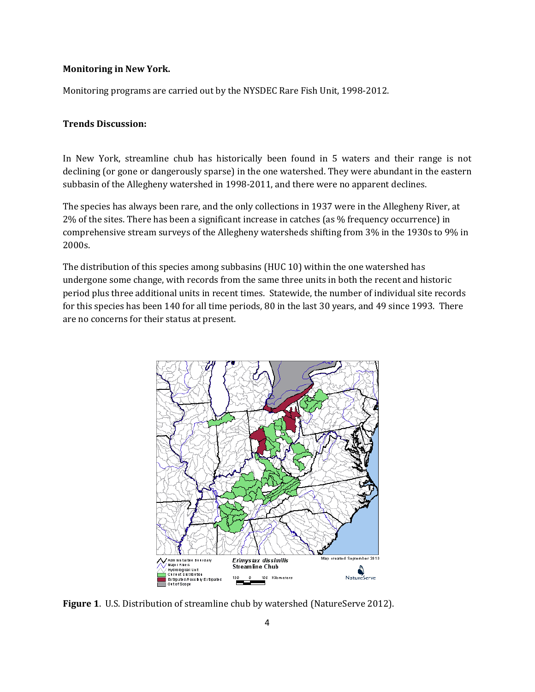#### **Monitoring in New York.**

Monitoring programs are carried out by the NYSDEC Rare Fish Unit, 1998-2012.

#### **Trends Discussion:**

In New York, streamline chub has historically been found in 5 waters and their range is not declining (or gone or dangerously sparse) in the one watershed. They were abundant in the eastern subbasin of the Allegheny watershed in 1998-2011, and there were no apparent declines.

The species has always been rare, and the only collections in 1937 were in the Allegheny River, at 2% of the sites. There has been a significant increase in catches (as % frequency occurrence) in comprehensive stream surveys of the Allegheny watersheds shifting from 3% in the 1930s to 9% in 2000s.

The distribution of this species among subbasins (HUC 10) within the one watershed has undergone some change, with records from the same three units in both the recent and historic period plus three additional units in recent times. Statewide, the number of individual site records for this species has been 140 for all time periods, 80 in the last 30 years, and 49 since 1993. There are no concerns for their status at present.



Figure 1. U.S. Distribution of streamline chub by watershed (NatureServe 2012).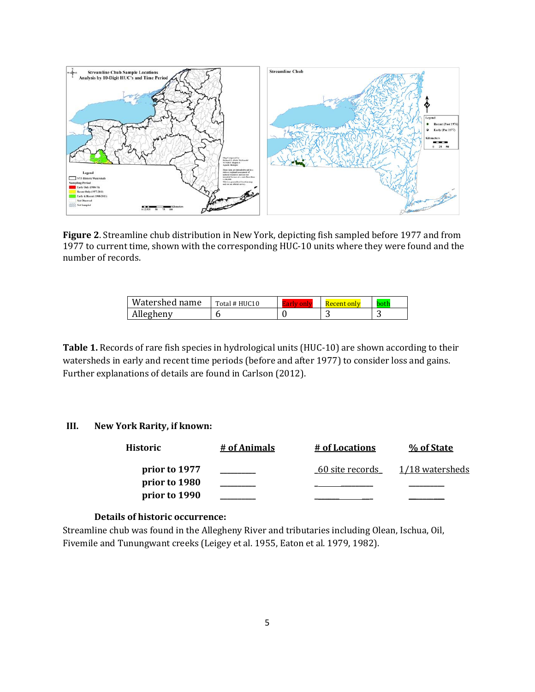

**Figure 2**. Streamline chub distribution in New York, depicting fish sampled before 1977 and from 1977 to current time, shown with the corresponding HUC-10 units where they were found and the number of records.

| Watershed name | Total # HUC10 | Early only | <b>Recent only</b> | hotk |
|----------------|---------------|------------|--------------------|------|
| Allegheny      |               |            |                    |      |

**Table 1.** Records of rare fish species in hydrological units (HUC-10) are shown according to their watersheds in early and recent time periods (before and after 1977) to consider loss and gains. Further explanations of details are found in Carlson (2012).

#### **III. New York Rarity, if known:**

| Historic      | # of Animals | <u># of Locations</u> | % of State      |
|---------------|--------------|-----------------------|-----------------|
| prior to 1977 |              | _60 site records_     | 1/18 watersheds |
| prior to 1980 |              |                       |                 |
| prior to 1990 |              |                       |                 |

#### **Details of historic occurrence:**

Streamline chub was found in the Allegheny River and tributaries including Olean, Ischua, Oil, Fivemile and Tunungwant creeks (Leigey et al. 1955, Eaton et al. 1979, 1982).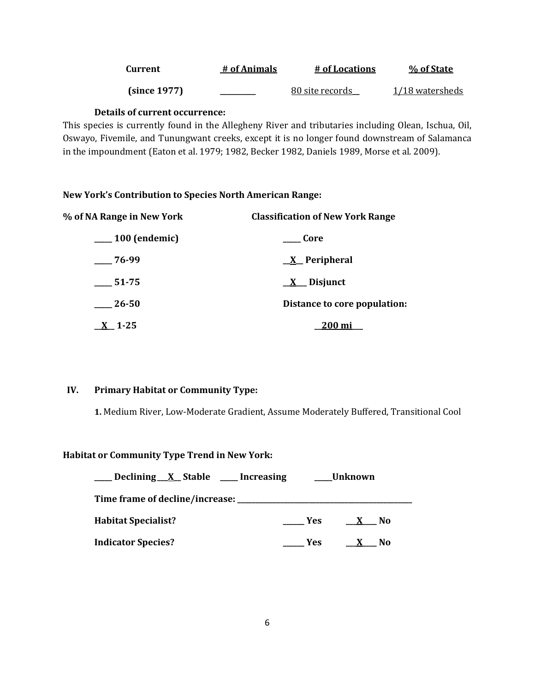| Current      | # of Animals | # of Locations  | % of State      |
|--------------|--------------|-----------------|-----------------|
| (since 1977) |              | 80 site records | 1/18 watersheds |

# **Details of current occurrence:**

This species is currently found in the Allegheny River and tributaries including Olean, Ischua, Oil, Oswayo, Fivemile, and Tunungwant creeks, except it is no longer found downstream of Salamanca in the impoundment (Eaton et al. 1979; 1982, Becker 1982, Daniels 1989, Morse et al. 2009).

# **New York's Contribution to Species North American Range:**

| % of NA Range in New York | <b>Classification of New York Range</b> |  |
|---------------------------|-----------------------------------------|--|
| $\frac{100}{2}$ (endemic) | Core                                    |  |
| $-76-99$                  | $\underline{X}$ Peripheral              |  |
| 51-75                     | $\underline{X}$ Disjunct                |  |
| $-26-50$                  | Distance to core population:            |  |
| $\underline{X}$ 1-25      | <u>200 mi</u>                           |  |

# **IV. Primary Habitat or Community Type:**

**1.** Medium River, Low-Moderate Gradient, Assume Moderately Buffered, Transitional Cool

## **Habitat or Community Type Trend in New York:**

| _Declining <u>X</u> Stable ___ Increasing |            | Unknown            |
|-------------------------------------------|------------|--------------------|
| Time frame of decline/increase: ______    |            |                    |
| <b>Habitat Specialist?</b>                | <b>Yes</b> | N0<br>$\mathbf x$  |
| <b>Indicator Species?</b>                 | Yes        | Nο<br>$\mathbf{X}$ |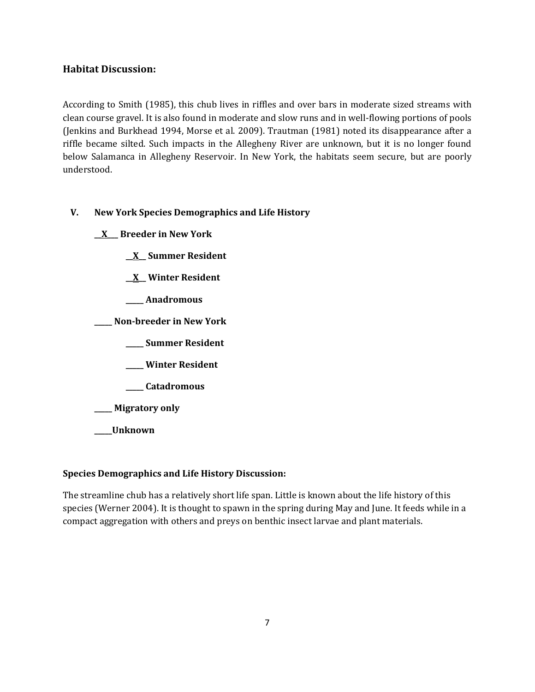# **Habitat Discussion:**

According to Smith (1985), this chub lives in riffles and over bars in moderate sized streams with clean course gravel. It is also found in moderate and slow runs and in well-flowing portions of pools (Jenkins and Burkhead 1994, Morse et al. 2009). Trautman (1981) noted its disappearance after a riffle became silted. Such impacts in the Allegheny River are unknown, but it is no longer found below Salamanca in Allegheny Reservoir. In New York, the habitats seem secure, but are poorly understood.

# **V. New York Species Demographics and Life History**

**\_\_X\_\_\_ Breeder in New York**

**\_\_X\_\_ Summer Resident**

**\_\_X\_\_ Winter Resident**

**\_\_\_\_\_ Anadromous**

**\_\_\_\_\_ Non-breeder in New York**

**\_\_\_\_\_ Summer Resident**

**\_\_\_\_\_ Winter Resident**

**\_\_\_\_\_ Catadromous**

**\_\_\_\_\_ Migratory only**

**\_\_\_\_\_Unknown**

# **Species Demographics and Life History Discussion:**

The streamline chub has a relatively short life span. Little is known about the life history of this species (Werner 2004). It is thought to spawn in the spring during May and June. It feeds while in a compact aggregation with others and preys on benthic insect larvae and plant materials.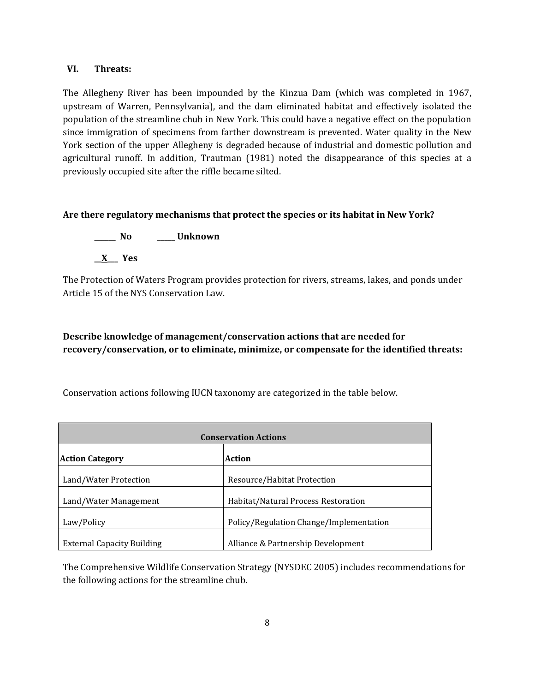# **VI. Threats:**

The Allegheny River has been impounded by the Kinzua Dam (which was completed in 1967, upstream of Warren, Pennsylvania), and the dam eliminated habitat and effectively isolated the population of the streamline chub in New York. This could have a negative effect on the population since immigration of specimens from farther downstream is prevented. Water quality in the New York section of the upper Allegheny is degraded because of industrial and domestic pollution and agricultural runoff. In addition, Trautman (1981) noted the disappearance of this species at a previously occupied site after the riffle became silted.

# **Are there regulatory mechanisms that protect the species or its habitat in New York?**



The Protection of Waters Program provides protection for rivers, streams, lakes, and ponds under Article 15 of the NYS Conservation Law.

# **Describe knowledge of management/conservation actions that are needed for recovery/conservation, or to eliminate, minimize, or compensate for the identified threats:**

Conservation actions following IUCN taxonomy are categorized in the table below.

| <b>Conservation Actions</b>             |                                         |  |
|-----------------------------------------|-----------------------------------------|--|
| <b>Action</b><br><b>Action Category</b> |                                         |  |
| Land/Water Protection                   | Resource/Habitat Protection             |  |
| Land/Water Management                   | Habitat/Natural Process Restoration     |  |
| Law/Policy                              | Policy/Regulation Change/Implementation |  |
| <b>External Capacity Building</b>       | Alliance & Partnership Development      |  |

The Comprehensive Wildlife Conservation Strategy (NYSDEC 2005) includes recommendations for the following actions for the streamline chub.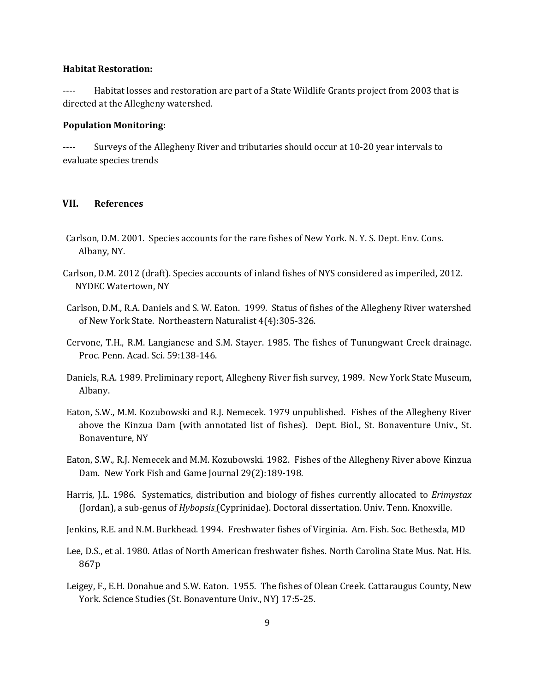#### **Habitat Restoration:**

---- Habitat losses and restoration are part of a State Wildlife Grants project from 2003 that is directed at the Allegheny watershed.

### **Population Monitoring:**

---- Surveys of the Allegheny River and tributaries should occur at 10-20 year intervals to evaluate species trends

# **VII. References**

- Carlson, D.M. 2001. Species accounts for the rare fishes of New York. N. Y. S. Dept. Env. Cons. Albany, NY.
- Carlson, D.M. 2012 (draft). Species accounts of inland fishes of NYS considered as imperiled, 2012. NYDEC Watertown, NY
- Carlson, D.M., R.A. Daniels and S. W. Eaton. 1999. Status of fishes of the Allegheny River watershed of New York State. Northeastern Naturalist 4(4):305-326.
- Cervone, T.H., R.M. Langianese and S.M. Stayer. 1985. The fishes of Tunungwant Creek drainage. Proc. Penn. Acad. Sci. 59:138-146.
- Daniels, R.A. 1989. Preliminary report, Allegheny River fish survey, 1989. New York State Museum, Albany.
- Eaton, S.W., M.M. Kozubowski and R.J. Nemecek. 1979 unpublished. Fishes of the Allegheny River above the Kinzua Dam (with annotated list of fishes). Dept. Biol., St. Bonaventure Univ., St. Bonaventure, NY
- Eaton, S.W., R.J. Nemecek and M.M. Kozubowski. 1982. Fishes of the Allegheny River above Kinzua Dam. New York Fish and Game Journal 29(2):189-198.
- Harris, J.L. 1986. Systematics, distribution and biology of fishes currently allocated to *Erimystax*  (Jordan), a sub-genus of *Hybopsis* (Cyprinidae). Doctoral dissertation. Univ. Tenn. Knoxville.
- Jenkins, R.E. and N.M. Burkhead. 1994. Freshwater fishes of Virginia. Am. Fish. Soc. Bethesda, MD
- Lee, D.S., et al. 1980. Atlas of North American freshwater fishes. North Carolina State Mus. Nat. His. 867p
- Leigey, F., E.H. Donahue and S.W. Eaton. 1955. The fishes of Olean Creek. Cattaraugus County, New York. Science Studies (St. Bonaventure Univ., NY) 17:5-25.